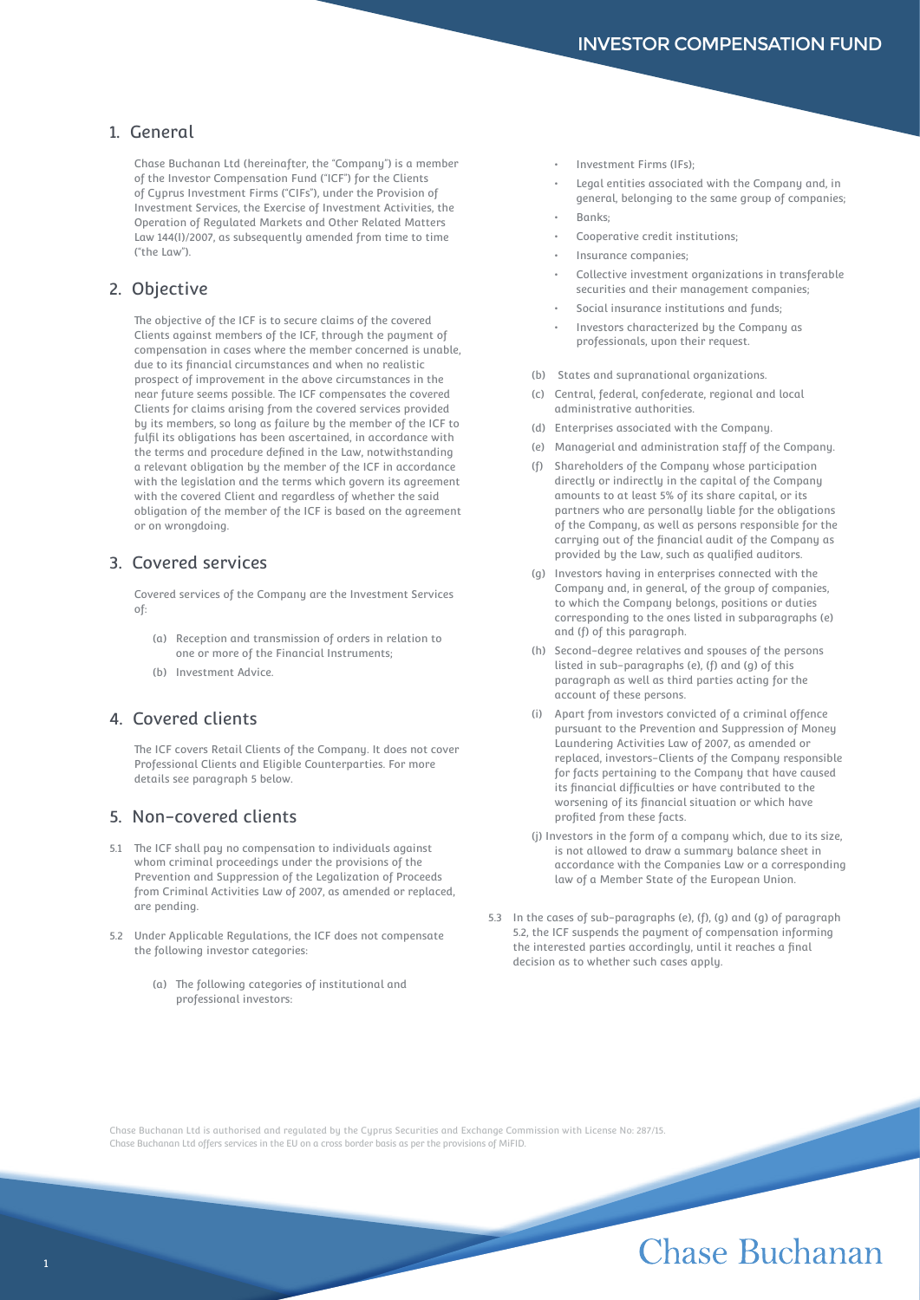### 1. General

Chase Buchanan Ltd (hereinafter, the "Company") is a member of the Investor Compensation Fund ("ICF") for the Clients of Cyprus Investment Firms ("CIFs"), under the Provision of Investment Services, the Exercise of Investment Activities, the Operation of Regulated Markets and Other Related Matters Law 144(I)/2007, as subsequently amended from time to time ("the Law").

#### 2. Objective

The objective of the ICF is to secure claims of the covered Clients against members of the ICF, through the payment of compensation in cases where the member concerned is unable, due to its financial circumstances and when no realistic prospect of improvement in the above circumstances in the near future seems possible. The ICF compensates the covered Clients for claims arising from the covered services provided by its members, so long as failure by the member of the ICF to fulfil its obligations has been ascertained, in accordance with the terms and procedure defined in the Law, notwithstanding a relevant obligation by the member of the ICF in accordance with the legislation and the terms which govern its agreement with the covered Client and regardless of whether the said obligation of the member of the ICF is based on the agreement or on wrongdoing.

### 3. Covered services

Covered services of the Company are the Investment Services of:

- (a) Reception and transmission of orders in relation to one or more of the Financial Instruments;
- (b) Investment Advice.

## 4. Covered clients

The ICF covers Retail Clients of the Company. It does not cover Professional Clients and Eligible Counterparties. For more details see paragraph 5 below.

#### 5. Non-covered clients

- 5.1 The ICF shall pay no compensation to individuals against whom criminal proceedings under the provisions of the Prevention and Suppression of the Legalization of Proceeds from Criminal Activities Law of 2007, as amended or replaced, are pending.
- 5.2 Under Applicable Regulations, the ICF does not compensate the following investor categories:
	- (a) The following categories of institutional and professional investors:
- Investment Firms (IFs);
- Legal entities associated with the Company and, in general, belonging to the same group of companies;
- Banks;
- Cooperative credit institutions;
- Insurance companies;
- Collective investment organizations in transferable securities and their management companies;
- Social insurance institutions and funds;
- Investors characterized by the Company as professionals, upon their request.
- (b) States and supranational organizations.
- (c) Central, federal, confederate, regional and local administrative authorities.
- (d) Enterprises associated with the Company.
- (e) Managerial and administration staff of the Company.
- (f) Shareholders of the Company whose participation directly or indirectly in the capital of the Company amounts to at least 5% of its share capital, or its partners who are personally liable for the obligations of the Company, as well as persons responsible for the carrying out of the financial audit of the Company as provided by the Law, such as qualified auditors.
- (g) Investors having in enterprises connected with the Company and, in general, of the group of companies, to which the Company belongs, positions or duties corresponding to the ones listed in subparagraphs (e) and (f) of this paragraph.
- (h) Second-degree relatives and spouses of the persons listed in sub-paragraphs (e), (f) and (g) of this paragraph as well as third parties acting for the account of these persons.
- (i) Apart from investors convicted of a criminal offence pursuant to the Prevention and Suppression of Money Laundering Activities Law of 2007, as amended or replaced, investors-Clients of the Company responsible for facts pertaining to the Company that have caused its financial difficulties or have contributed to the worsening of its financial situation or which have profited from these facts.
- (j) Investors in the form of a company which, due to its size, is not allowed to draw a summary balance sheet in accordance with the Companies Law or a corresponding law of a Member State of the European Union.
- 5.3 In the cases of sub-paragraphs (e), (f), (g) and (g) of paragraph 5.2, the ICF suspends the payment of compensation informing the interested parties accordingly, until it reaches a final decision as to whether such cases apply.

Chase Buchanan Ltd is authorised and regulated by the Cyprus Securities and Exchange Commission with License No: 287/15. Chase Buchanan Ltd offers services in the EU on a cross border basis as per the provisions of MiFID.

# Chase Buchanan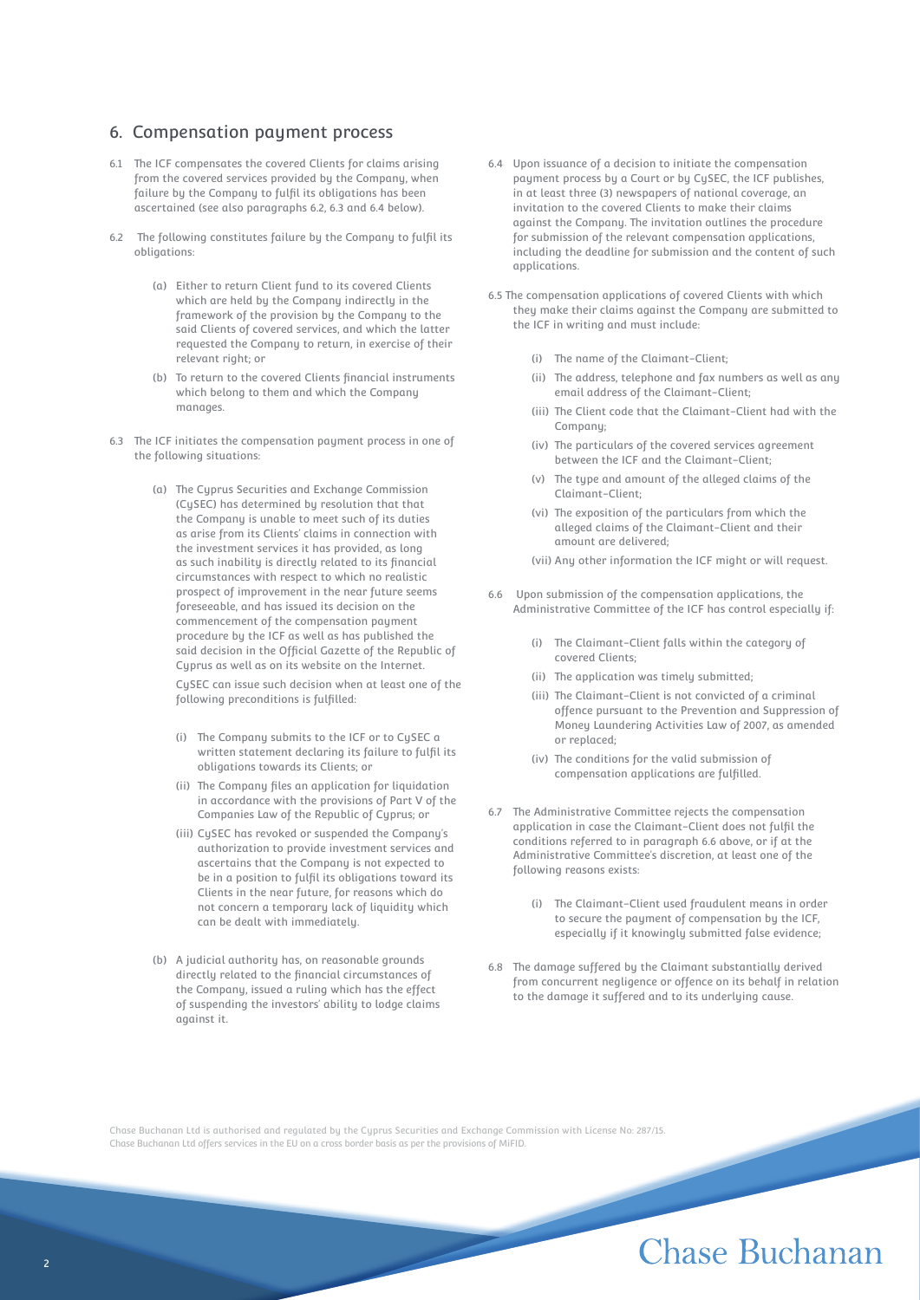#### 6. Compensation payment process

- 6.1 The ICF compensates the covered Clients for claims arising from the covered services provided by the Company, when failure by the Company to fulfil its obligations has been ascertained (see also paragraphs 6.2, 6.3 and 6.4 below).
- 6.2 The following constitutes failure by the Company to fulfil its obligations:
	- (a) Either to return Client fund to its covered Clients which are held by the Company indirectly in the framework of the provision by the Company to the said Clients of covered services, and which the latter requested the Company to return, in exercise of their relevant right; or
	- (b) To return to the covered Clients financial instruments which belong to them and which the Company manages.
- 6.3 The ICF initiates the compensation payment process in one of the following situations:
	- (a) The Cyprus Securities and Exchange Commission (CySEC) has determined by resolution that that the Company is unable to meet such of its duties as arise from its Clients' claims in connection with the investment services it has provided, as long as such inability is directly related to its financial circumstances with respect to which no realistic prospect of improvement in the near future seems foreseeable, and has issued its decision on the commencement of the compensation payment procedure by the ICF as well as has published the said decision in the Official Gazette of the Republic of Cuprus as well as on its website on the Internet.

CySEC can issue such decision when at least one of the following preconditions is fulfilled:

- (i) The Company submits to the ICF or to CySEC a written statement declaring its failure to fulfil its obligations towards its Clients; or
- (ii) The Company files an application for liquidation in accordance with the provisions of Part V of the Companies Law of the Republic of Cyprus; or
- (iii) CySEC has revoked or suspended the Company's authorization to provide investment services and ascertains that the Company is not expected to be in a position to fulfil its obligations toward its Clients in the near future, for reasons which do not concern a temporary lack of liquidity which can be dealt with immediately.
- (b) A judicial authority has, on reasonable grounds directly related to the financial circumstances of the Company, issued a ruling which has the effect of suspending the investors' ability to lodge claims against it.
- 6.4 Upon issuance of a decision to initiate the compensation payment process by a Court or by CySEC, the ICF publishes, in at least three (3) newspapers of national coverage, an invitation to the covered Clients to make their claims against the Company. The invitation outlines the procedure for submission of the relevant compensation applications, including the deadline for submission and the content of such applications.
- 6.5 The compensation applications of covered Clients with which they make their claims against the Company are submitted to the ICF in writing and must include:
	- (i) The name of the Claimant-Client;
	- (ii) The address, telephone and fax numbers as well as any email address of the Claimant-Client;
	- (iii) The Client code that the Claimant-Client had with the Company;
	- (iv) The particulars of the covered services agreement between the ICF and the Claimant-Client;
	- (v) The type and amount of the alleged claims of the Claimant-Client;
	- (vi) The exposition of the particulars from which the alleged claims of the Claimant-Client and their amount are delivered;
	- (vii) Any other information the ICF might or will request.
- 6.6 Upon submission of the compensation applications, the Administrative Committee of the ICF has control especially if:
	- (i) The Claimant-Client falls within the category of covered Clients;
	- (ii) The application was timely submitted;
	- (iii) The Claimant-Client is not convicted of a criminal offence pursuant to the Prevention and Suppression of Money Laundering Activities Law of 2007, as amended or replaced;
	- (iv) The conditions for the valid submission of compensation applications are fulfilled.
- 6.7 The Administrative Committee rejects the compensation application in case the Claimant-Client does not fulfil the conditions referred to in paragraph 6.6 above, or if at the Administrative Committee's discretion, at least one of the following reasons exists:
	- (i) The Claimant-Client used fraudulent means in order to secure the payment of compensation by the ICF, especially if it knowingly submitted false evidence;
- 6.8 The damage suffered by the Claimant substantially derived from concurrent negligence or offence on its behalf in relation to the damage it suffered and to its underlying cause.

Chase Buchanan Ltd is authorised and regulated by the Cyprus Securities and Exchange Commission with License No: 287/15. Chase Buchanan Ltd offers services in the EU on a cross border basis as per the provisions of MiFID.

# Chase Buchanan